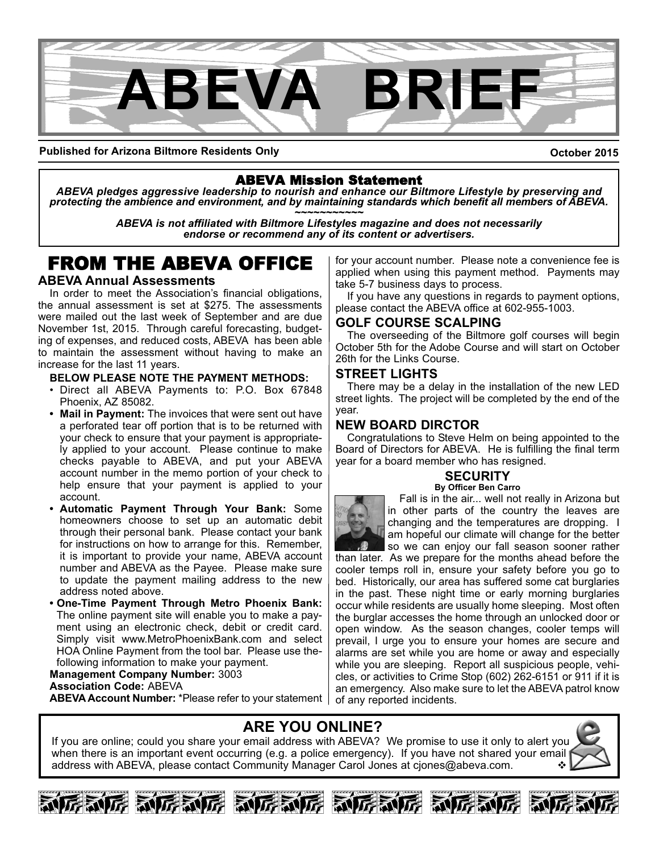

**Published for Arizona Biltmore Residents Only**

**October 2015**

## ABEVA Mission Statement

*ABEVA pledges aggressive leadership to nourish and enhance our Biltmore Lifestyle by preserving and* protecting the ambience and environment, and by maintaining standards which benefit all members of ABEVA.<br>ABEVA is not affiliated with Biltmore Lifestyles magazine and does not necessarily

*endorse or recommend any of its content or advertisers.*

# FROM THE ABEVA OFFICE

#### **ABEVA Annual Assessments**

In order to meet the Association's financial obligations, the annual assessment is set at \$275. The assessments were mailed out the last week of September and are due November 1st, 2015. Through careful forecasting, budgeting of expenses, and reduced costs, ABEVA has been able to maintain the assessment without having to make an increase for the last 11 years.

#### **BELOW PLEASE NOTE THE PAYMENT METHODS:**

- Direct all ABEVA Payments to: P.O. Box 67848 Phoenix, AZ 85082.
- **Mail in Payment:** The invoices that were sent out have a perforated tear off portion that is to be returned with your check to ensure that your payment is appropriately applied to your account. Please continue to make checks payable to ABEVA, and put your ABEVA account number in the memo portion of your check to help ensure that your payment is applied to your account.
- **Automatic Payment Through Your Bank:** Some homeowners choose to set up an automatic debit through their personal bank. Please contact your bank for instructions on how to arrange for this. Remember, it is important to provide your name, ABEVA account number and ABEVA as the Payee. Please make sure to update the payment mailing address to the new address noted above.
- **One-Time Payment Through Metro Phoenix Bank:** The online payment site will enable you to make a payment using an electronic check, debit or credit card. Simply visit www.MetroPhoenixBank.com and select HOA Online Payment from the tool bar. Please use thefollowing information to make your payment.

**Management Company Number:** 3003 **Association Code:** ABEVA **ABEVA Account Number:** \*Please refer to your statement

for your account number. Please note a convenience fee is applied when using this payment method. Payments may take 5-7 business days to process.

If you have any questions in regards to payment options, please contact the ABEVA office at 602-955-1003.

## **GOLF COURSE SCALPING**

The overseeding of the Biltmore golf courses will begin October 5th for the Adobe Course and will start on October 26th for the Links Course.

## **STREET LIGHTS**

There may be a delay in the installation of the new LED street lights. The project will be completed by the end of the year.

## **NEW BOARD DIRCTOR**

Congratulations to Steve Helm on being appointed to the Board of Directors for ABEVA. He is fulfilling the final term year for a board member who has resigned.

#### **SECURITY By Officer Ben Carro**



Fall is in the air... well not really in Arizona but in other parts of the country the leaves are changing and the temperatures are dropping. I am hopeful our climate will change for the better so we can enjoy our fall season sooner rather

than later. As we prepare for the months ahead before the cooler temps roll in, ensure your safety before you go to bed. Historically, our area has suffered some cat burglaries in the past. These night time or early morning burglaries occur while residents are usually home sleeping. Most often the burglar accesses the home through an unlocked door or open window. As the season changes, cooler temps will prevail, I urge you to ensure your homes are secure and alarms are set while you are home or away and especially while you are sleeping. Report all suspicious people, vehicles, or activities to Crime Stop (602) 262-6151 or 911 if it is an emergency. Also make sure to let the ABEVA patrol know of any reported incidents.

## **ARE YOU ONLINE?**

If you are online; could you share your email address with ABEVA? We promise to use it only to alert you when there is an important event occurring (e.g. a police emergency). If you have not shared your email address with ABEVA, please contact Community Manager Carol Jones at ciones@abeva.com.







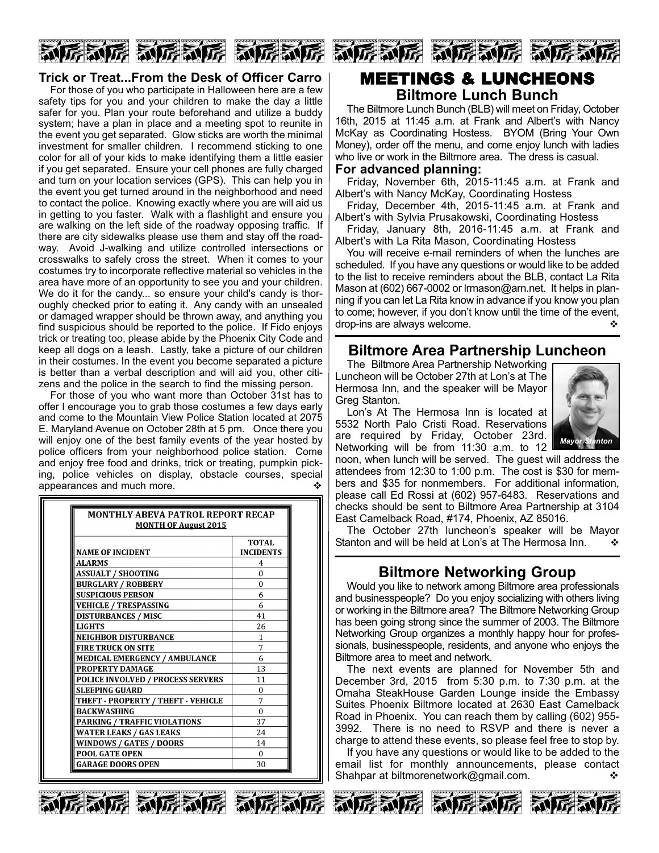

## **Trick or Treat...From the Desk of Officer Carro**

For those of you who participate in Halloween here are a few safety tips for you and your children to make the day a little safer for you. Plan your route beforehand and utilize a buddy system; have a plan in place and a meeting spot to reunite in the event you get separated. Glow sticks are worth the minimal investment for smaller children. I recommend sticking to one color for all of your kids to make identifying them a little easier if you get separated. Ensure your cell phones are fully charged and turn on your location services (GPS). This can help you in the event you get turned around in the neighborhood and need to contact the police. Knowing exactly where you are will aid us in getting to you faster. Walk with a flashlight and ensure you are walking on the left side of the roadway opposing traffic. If there are city sidewalks please use them and stay off the roadway. Avoid J-walking and utilize controlled intersections or crosswalks to safely cross the street. When it comes to your costumes try to incorporate reflective material so vehicles in the area have more of an opportunity to see you and your children. We do it for the candy... so ensure your child's candy is thoroughly checked prior to eating it. Any candy with an unsealed or damaged wrapper should be thrown away, and anything you find suspicious should be reported to the police. If Fido enjoys trick or treating too, please abide by the Phoenix City Code and keep all dogs on a leash. Lastly, take a picture of our children in their costumes. In the event you become separated a picture is better than a verbal description and will aid you, other citizens and the police in the search to find the missing person.

For those of you who want more than October 31st has to offer I encourage you to grab those costumes a few days early and come to the Mountain View Police Station located at 2075 E. Maryland Avenue on October 28th at 5 pm. Once there you will enjoy one of the best family events of the year hosted by police officers from your neighborhood police station. Come and enjoy free food and drinks, trick or treating, pumpkin picking, police vehicles on display, obstacle courses, special appearances and much more.  $\bullet$ 

| <b>MONTHLY ABEVA PATROL REPORT RECAP</b><br><b>MONTH OF August 2015</b> |                           |  |
|-------------------------------------------------------------------------|---------------------------|--|
| <b>NAME OF INCIDENT</b>                                                 | TOTAL<br><b>INCIDENTS</b> |  |
| <b>ALARMS</b>                                                           | 4                         |  |
| ASSUALT / SHOOTING                                                      | $\Omega$                  |  |
| <b>BURGLARY / ROBBERY</b>                                               | $\Omega$                  |  |
| <b>SUSPICIOUS PERSON</b>                                                | 6                         |  |
| VEHICLE / TRESPASSING                                                   | 6                         |  |
| <b>DISTURBANCES / MISC</b>                                              | 41                        |  |
| LIGHTS                                                                  | 26                        |  |
| <b>NEIGHBOR DISTURBANCE</b>                                             | 1                         |  |
| <b>FIRE TRUCK ON SITE</b>                                               | 7                         |  |
| <b>MEDICAL EMERGENCY / AMBULANCE</b>                                    | 6                         |  |
| <b>PROPERTY DAMAGE</b>                                                  | 13                        |  |
| <b>POLICE INVOLVED / PROCESS SERVERS</b>                                | 11                        |  |
| SLEEPING GUARD                                                          | 0                         |  |
| THEFT - PROPERTY / THEFT - VEHICLE                                      | 7                         |  |
| <b>BACKWASHING</b>                                                      | 0                         |  |
| <b>PARKING / TRAFFIC VIOLATIONS</b>                                     | 37                        |  |
| WATER LEAKS / GAS LEAKS                                                 | 24                        |  |
| WINDOWS / GATES / DOORS                                                 | 14                        |  |
| <b>POOL GATE OPEN</b>                                                   | $\Omega$                  |  |
| GARAGE DOORS OPEN                                                       | 30                        |  |



## MEETINGS & LUNCHEONS **Biltmore Lunch Bunch**

The Biltmore Lunch Bunch (BLB) will meet on Friday, October 16th, 2015 at 11:45 a.m. at Frank and Albert's with Nancy McKay as Coordinating Hostess. BYOM (Bring Your Own Money), order off the menu, and come enjoy lunch with ladies who live or work in the Biltmore area. The dress is casual.

#### **For advanced planning:**

Friday, November 6th, 2015-11:45 a.m. at Frank and Albert's with Nancy McKay, Coordinating Hostess

Friday, December 4th, 2015-11:45 a.m. at Frank and Albert's with Sylvia Prusakowski, Coordinating Hostess

Friday, January 8th, 2016-11:45  $a.m.$  at Frank and Albert's with La Rita Mason, Coordinating Hostess

You will receive e-mail reminders of when the lunches are scheduled. If you have any questions or would like to be added to the list to receive reminders about the BLB, contact La Rita Mason at (602) 667-0002 or Irmason@arn.net. It helps in planning if you can let La Rita know in advance if you know you plan to come; however, if you don't know until the time of the event, drop-ins are always welcome.  $\cdot$  v

## **Biltmore Area Partnership Luncheon**

The Biltmore Area Partnership Networking Luncheon will be October 27th at Lon's at The Hermosa Inn, and the speaker will be Mayor Greg Stanton.

Lon's At The Hermosa Inn is located at 5532 North Palo Cristi Road. Reservations are required by Friday, October 23rd. Networking will be from 11:30 a.m. to 12



noon, when lunch will be served. The guest will address the attendees from 12:30 to 1:00 p.m. The cost is \$30 for members and \$35 for nonmembers. For additional information, please call Ed Rossi at (602) 957-6483. Reservations and checks should be sent to Biltmore Area Partnership at 3104 East Camelback Road, #174, Phoenix, AZ 85016.

The October 27th luncheon's speaker will be Mayor Stanton and will be held at Lon's at The Hermosa Inn.  $\bullet$ 

## **Biltmore Networking Group**

Would you like to network among Biltmore area professionals and businesspeople? Do you enjoy socializing with others living or working in the Biltmore area? The Biltmore Networking Group has been going strong since the summer of 2003. The Biltmore Networking Group organizes a monthly happy hour for professionals, businesspeople, residents, and anyone who enjoys the Biltmore area to meet and network.

The next events are planned for November 5th and December 3rd, 2015 from 5:30 p.m. to 7:30 p.m. at the Omaha SteakHouse Garden Lounge inside the Embassy Suites Phoenix Biltmore located at 2630 East Camelback Road in Phoenix. You can reach them by calling (602) 955 3992. There is no need to RSVP and there is never a charge to attend these events, so please feel free to stop by.

If you have any questions or would like to be added to the email list for monthly announcements, please contact Shahpar at biltmorenetwork@gmail.com. ◆











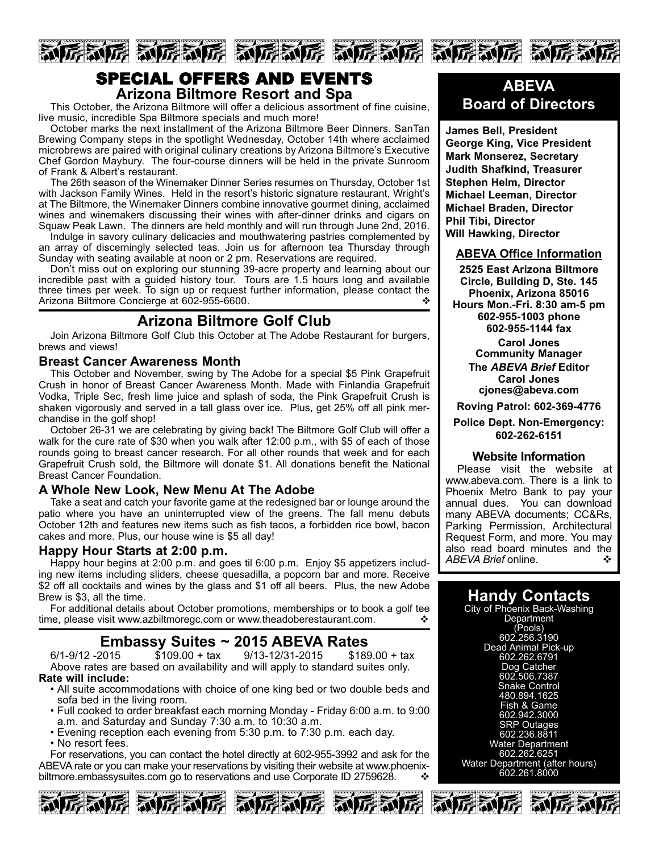

## SPECIAL OFFERS AND EVENTS **Arizona Biltmore Resort and Spa**

This October, the Arizona Biltmore will offer a delicious assortment of fine cuisine, live music, incredible Spa Biltmore specials and much more!

October marks the next installment of the Arizona Biltmore Beer Dinners. SanTan Brewing Company steps in the spotlight Wednesday, October 14th where acclaimed microbrews are paired with original culinary creations by Arizona Biltmore's Executive Chef Gordon Maybury. The four-course dinners will be held in the private Sunroom of Frank & Albert's restaurant.

The 26th season of the Winemaker Dinner Series resumes on Thursday, October 1st with Jackson Family Wines. Held in the resort's historic signature restaurant, Wright's at The Biltmore, the Winemaker Dinners combine innovative gourmet dining, acclaimed wines and winemakers discussing their wines with after-dinner drinks and cigars on Squaw Peak Lawn. The dinners are held monthly and will run through June 2nd, 2016.

Indulge in savory culinary delicacies and mouthwatering pastries complemented by an array of discerningly selected teas. Join us for afternoon tea Thursday through Sunday with seating available at noon or 2 pm. Reservations are required.

Don't miss out on exploring our stunning 39-acre property and learning about our incredible past with a guided history tour. Tours are 1.5 hours long and available three times per week. To sign up or request further information, please contact the Arizona Biltmore Concierge at 602-955-6600.

## **Arizona Biltmore Golf Club**

Join Arizona Biltmore Golf Club this October at The Adobe Restaurant for burgers, brews and views!

## **Breast Cancer Awareness Month**

This October and November, swing by The Adobe for a special \$5 Pink Grapefruit Crush in honor of Breast Cancer Awareness Month. Made with Finlandia Grapefruit Vodka, Triple Sec, fresh lime juice and splash of soda, the Pink Grapefruit Crush is shaken vigorously and served in a tall glass over ice. Plus, get 25% off all pink merchandise in the golf shop!

October 2631 we are celebrating by giving back! The Biltmore Golf Club will offer a walk for the cure rate of \$30 when you walk after 12:00 p.m., with \$5 of each of those rounds going to breast cancer research. For all other rounds that week and for each Grapefruit Crush sold, the Biltmore will donate \$1. All donations benefit the National Breast Cancer Foundation.

## **A Whole New Look, New Menu At The Adobe**

Take a seat and catch your favorite game at the redesigned bar or lounge around the patio where you have an uninterrupted view of the greens. The fall menu debuts October 12th and features new items such as fish tacos, a forbidden rice bowl, bacon cakes and more. Plus, our house wine is \$5 all day!

## **Happy Hour Starts at 2:00 p.m.**

Happy hour begins at 2:00 p.m. and goes til 6:00 p.m. Enjoy \$5 appetizers including new items including sliders, cheese quesadilla, a popcorn bar and more. Receive \$2 off all cocktails and wines by the glass and \$1 off all beers. Plus, the new Adobe Brew is \$3, all the time.

For additional details about October promotions, memberships or to book a golf tee time, please visit www.azbiltmoregc.com or www.theadoberestaurant.com.  $\mathbf{\hat{v}}$ 

**Embassy Suites ~ 2015 ABEVA Rates** 9/13-12/31-2015 Above rates are based on availability and will apply to standard suites only. **Rate will include:**

- All suite accommodations with choice of one king bed or two double beds and sofa bed in the living room.
- Full cooked to order breakfast each morning Monday Friday 6:00 a.m. to 9:00 a.m. and Saturday and Sunday 7:30 a.m. to 10:30 a.m.
- Evening reception each evening from 5:30 p.m. to 7:30 p.m. each day.
- No resort fees.

For reservations, you can contact the hotel directly at 602-955-3992 and ask for the ABEVA rate or you can make your reservations by visiting their website at www.phoenixbiltmore.embassysuites.com go to reservations and use Corporate ID 2759628.











**James Bell, President George King, Vice President Mark Monserez, Secretary Judith Shafkind, Treasurer Stephen Helm, Director Michael Leeman, Director Michael Braden, Director Phil Tibi, Director Will Hawking, Director**

## **ABEVA Office Information**

**2525 East Arizona Biltmore Circle, Building D, Ste. 145 Phoenix, Arizona 85016 Hours Mon.Fri. 8:30 am5 pm 6029551003 phone 6029551144 fax**

**Carol Jones Community Manager**

**The** *ABEVA Brief* **Editor Carol Jones cjones@abeva.com**

**Roving Patrol: 6023694776**

## **Police Dept. Non-Emergency: 6022626151**

## **Website Information**

Please visit the website at www.abeva.com. There is a link to Phoenix Metro Bank to pay your annual dues. You can download many ABEVA documents; CC&Rs, Parking Permission, Architectural Request Form, and more. You may also read board minutes and the *ABEVA Brief* online. v

## **Handy Contacts**

City of Phoenix Back-Washing **Department** (Pools) 602.256.3190 Dead Animal Pick-up 602.262.6791 Dog Catcher 602.506.7387 Snake Control 480.894.1625 Fish & Game 602.942.3000 SRP Outages 602.236.8811 Water Department 602.262.6251 Water Department (after hours) 602.261.8000